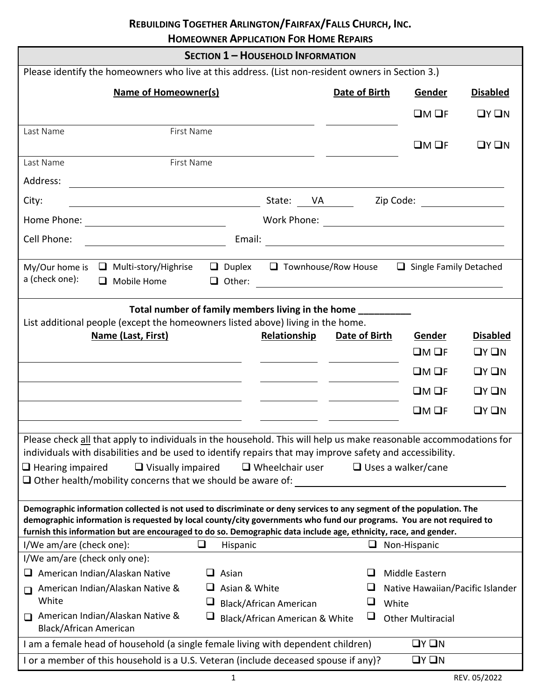# **REBUILDING TOGETHER ARLINGTON/FAIRFAX/FALLS CHURCH, INC.**

**HOMEOWNER APPLICATION FOR HOME REPAIRS**

 $\overline{a}$ 

|                                                                                                                                                                                                                                              | <b>SECTION 1 - HOUSEHOLD INFORMATION</b> |               |                                  |                 |
|----------------------------------------------------------------------------------------------------------------------------------------------------------------------------------------------------------------------------------------------|------------------------------------------|---------------|----------------------------------|-----------------|
| Please identify the homeowners who live at this address. (List non-resident owners in Section 3.)                                                                                                                                            |                                          |               |                                  |                 |
| <b>Name of Homeowner(s)</b>                                                                                                                                                                                                                  |                                          | Date of Birth | Gender                           | <b>Disabled</b> |
|                                                                                                                                                                                                                                              |                                          |               | $LM$ OF                          | QYQN            |
| First Name<br>Last Name                                                                                                                                                                                                                      |                                          |               |                                  |                 |
|                                                                                                                                                                                                                                              |                                          |               | $\square M \square F$            | QYQN            |
| First Name<br>Last Name                                                                                                                                                                                                                      |                                          |               |                                  |                 |
| Address:<br><u> 1989 - Johann Stoff, deutscher Stoff, der Stoff, der Stoff, der Stoff, der Stoff, der Stoff, der Stoff, der S</u>                                                                                                            |                                          |               |                                  |                 |
| City:<br><u> 1989 - Johann Barn, mars ann an t-Amhain Aonaich an t-Aonaich an t-Aonaich ann an t-Aonaich an t-Aonaich ann </u>                                                                                                               | State: VA _____                          |               | Zip Code: __________________     |                 |
|                                                                                                                                                                                                                                              |                                          |               |                                  |                 |
| Cell Phone:                                                                                                                                                                                                                                  |                                          |               |                                  |                 |
|                                                                                                                                                                                                                                              |                                          |               |                                  |                 |
| $\Box$ Multi-story/Highrise<br>My/Our home is<br>a (check one):<br>$\Box$ Mobile Home                                                                                                                                                        | $\Box$ Duplex $\Box$ Townhouse/Row House |               | Single Family Detached           |                 |
|                                                                                                                                                                                                                                              |                                          |               |                                  |                 |
| Total number of family members living in the home                                                                                                                                                                                            |                                          |               |                                  |                 |
| List additional people (except the homeowners listed above) living in the home.                                                                                                                                                              |                                          |               |                                  |                 |
| Name (Last, First)                                                                                                                                                                                                                           | Relationship                             | Date of Birth | Gender                           | <b>Disabled</b> |
|                                                                                                                                                                                                                                              |                                          |               | CMOF                             | QYQN            |
|                                                                                                                                                                                                                                              |                                          |               | $LM$ OF                          | QYQN            |
|                                                                                                                                                                                                                                              |                                          |               | DMOF                             | $\Box Y \Box N$ |
|                                                                                                                                                                                                                                              |                                          |               | $\square M \square F$            | $\Box Y \Box N$ |
|                                                                                                                                                                                                                                              |                                          |               |                                  |                 |
| Please check all that apply to individuals in the household. This will help us make reasonable accommodations for<br>individuals with disabilities and be used to identify repairs that may improve safety and accessibility.                |                                          |               |                                  |                 |
| $\Box$ Hearing impaired<br>$\Box$ Visually impaired                                                                                                                                                                                          | $\Box$ Wheelchair user                   |               | $\Box$ Uses a walker/cane        |                 |
| $\Box$ Other health/mobility concerns that we should be aware of:                                                                                                                                                                            |                                          |               |                                  |                 |
|                                                                                                                                                                                                                                              |                                          |               |                                  |                 |
| Demographic information collected is not used to discriminate or deny services to any segment of the population. The<br>demographic information is requested by local county/city governments who fund our programs. You are not required to |                                          |               |                                  |                 |
| furnish this information but are encouraged to do so. Demographic data include age, ethnicity, race, and gender.                                                                                                                             |                                          |               |                                  |                 |
| I/We am/are (check one):<br>Hispanic                                                                                                                                                                                                         |                                          | ⊔.            | Non-Hispanic                     |                 |
| I/We am/are (check only one):                                                                                                                                                                                                                |                                          |               |                                  |                 |
| American Indian/Alaskan Native<br>$\Box$ Asian<br>┙                                                                                                                                                                                          |                                          |               | Middle Eastern                   |                 |
| $\Box$ Asian & White<br>American Indian/Alaskan Native &<br>$\Box$                                                                                                                                                                           |                                          |               | Native Hawaiian/Pacific Islander |                 |
| White<br>⊔<br>American Indian/Alaskan Native &                                                                                                                                                                                               | <b>Black/African American</b>            | ⊔             | White                            |                 |
| ⊔<br><b>Black/African American</b>                                                                                                                                                                                                           | Black/African American & White           | $\Box$        | <b>Other Multiracial</b>         |                 |
| I am a female head of household (a single female living with dependent children)                                                                                                                                                             |                                          |               | $\Box Y \Box N$                  |                 |
| I or a member of this household is a U.S. Veteran (include deceased spouse if any)?                                                                                                                                                          |                                          |               | $\Box Y \Box N$                  |                 |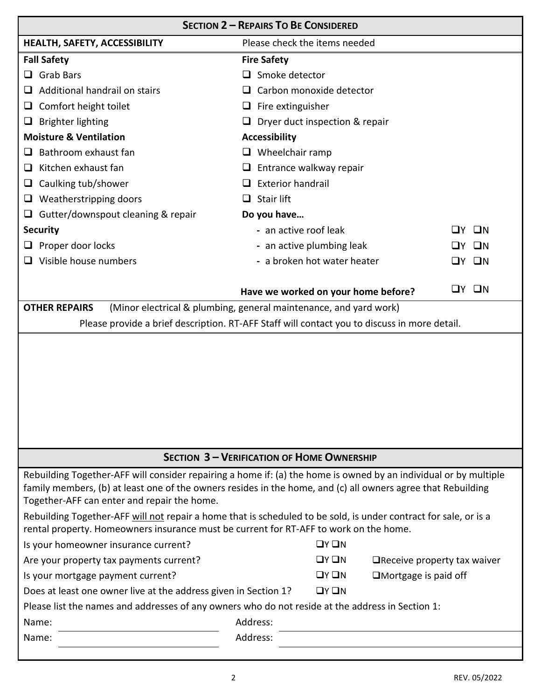|                                                                                                                                      | <b>SECTION 2 - REPAIRS TO BE CONSIDERED</b>                                                                                                                                                                                                                                                                                                          |
|--------------------------------------------------------------------------------------------------------------------------------------|------------------------------------------------------------------------------------------------------------------------------------------------------------------------------------------------------------------------------------------------------------------------------------------------------------------------------------------------------|
| HEALTH, SAFETY, ACCESSIBILITY                                                                                                        | Please check the items needed                                                                                                                                                                                                                                                                                                                        |
| <b>Fall Safety</b>                                                                                                                   | <b>Fire Safety</b>                                                                                                                                                                                                                                                                                                                                   |
| <b>Grab Bars</b><br>ப                                                                                                                | $\Box$ Smoke detector                                                                                                                                                                                                                                                                                                                                |
| Additional handrail on stairs<br>⊔                                                                                                   | Carbon monoxide detector                                                                                                                                                                                                                                                                                                                             |
| Comfort height toilet<br>⊔                                                                                                           | $\Box$ Fire extinguisher                                                                                                                                                                                                                                                                                                                             |
| <b>Brighter lighting</b><br>⊔                                                                                                        | $\Box$ Dryer duct inspection & repair                                                                                                                                                                                                                                                                                                                |
| <b>Moisture &amp; Ventilation</b>                                                                                                    | <b>Accessibility</b>                                                                                                                                                                                                                                                                                                                                 |
| Bathroom exhaust fan                                                                                                                 | $\Box$ Wheelchair ramp                                                                                                                                                                                                                                                                                                                               |
| Kitchen exhaust fan<br>⊔                                                                                                             | Entrance walkway repair<br>⊔                                                                                                                                                                                                                                                                                                                         |
| Caulking tub/shower<br>⊔                                                                                                             | <b>Exterior handrail</b>                                                                                                                                                                                                                                                                                                                             |
| Weatherstripping doors<br>u.                                                                                                         | Stair lift                                                                                                                                                                                                                                                                                                                                           |
| $\Box$ Gutter/downspout cleaning & repair                                                                                            | Do you have                                                                                                                                                                                                                                                                                                                                          |
| <b>Security</b>                                                                                                                      | - an active roof leak<br>ШN<br>l IV.                                                                                                                                                                                                                                                                                                                 |
| Proper door locks                                                                                                                    | - an active plumbing leak<br>ПN                                                                                                                                                                                                                                                                                                                      |
| $\Box$ Visible house numbers                                                                                                         | - a broken hot water heater<br>$\square$ N<br>LIY.                                                                                                                                                                                                                                                                                                   |
|                                                                                                                                      |                                                                                                                                                                                                                                                                                                                                                      |
|                                                                                                                                      | $\square$ N<br>∐Y I<br>Have we worked on your home before?                                                                                                                                                                                                                                                                                           |
| <b>OTHER REPAIRS</b>                                                                                                                 | (Minor electrical & plumbing, general maintenance, and yard work)                                                                                                                                                                                                                                                                                    |
|                                                                                                                                      | Please provide a brief description. RT-AFF Staff will contact you to discuss in more detail.                                                                                                                                                                                                                                                         |
|                                                                                                                                      |                                                                                                                                                                                                                                                                                                                                                      |
|                                                                                                                                      | <b>SECTION 3 - VERIFICATION OF HOME OWNERSHIP</b>                                                                                                                                                                                                                                                                                                    |
| Together-AFF can enter and repair the home.<br>rental property. Homeowners insurance must be current for RT-AFF to work on the home. | Rebuilding Together-AFF will consider repairing a home if: (a) the home is owned by an individual or by multiple<br>family members, (b) at least one of the owners resides in the home, and (c) all owners agree that Rebuilding<br>Rebuilding Together-AFF will not repair a home that is scheduled to be sold, is under contract for sale, or is a |
| Is your homeowner insurance current?                                                                                                 | $\Box Y \Box N$                                                                                                                                                                                                                                                                                                                                      |
| Are your property tax payments current?                                                                                              | $\Box Y \Box N$<br>$\Box$ Receive property tax waiver                                                                                                                                                                                                                                                                                                |
| Is your mortgage payment current?                                                                                                    | $\Box Y \Box N$<br>$\square$ Mortgage is paid off                                                                                                                                                                                                                                                                                                    |
| Does at least one owner live at the address given in Section 1?                                                                      | $\Box Y \Box N$                                                                                                                                                                                                                                                                                                                                      |
| Please list the names and addresses of any owners who do not reside at the address in Section 1:                                     |                                                                                                                                                                                                                                                                                                                                                      |
| Name:                                                                                                                                | Address:                                                                                                                                                                                                                                                                                                                                             |
| Name:                                                                                                                                | Address:                                                                                                                                                                                                                                                                                                                                             |
|                                                                                                                                      |                                                                                                                                                                                                                                                                                                                                                      |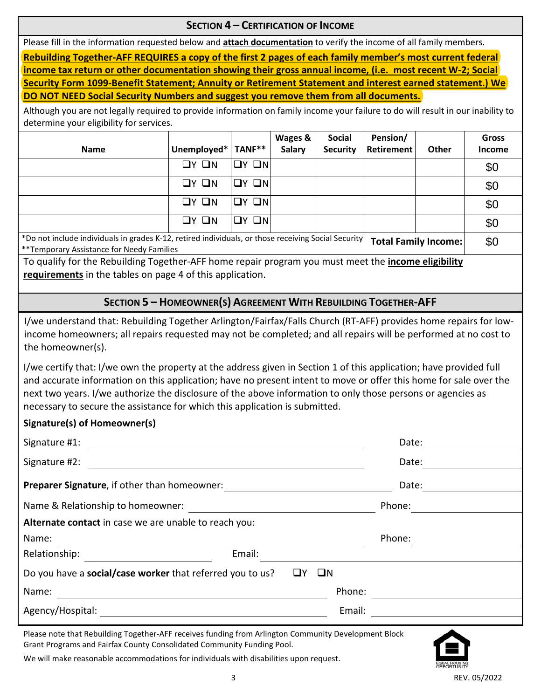#### **SECTION 4 – CERTIFICATION OF INCOME**

Please fill in the information requested below and **attach documentation** to verify the income of all family members.

**Rebuilding Together-AFF REQUIRES a copy of the first 2 pages of each family member's most current federal income tax return or other documentation showing their gross annual income, (i.e. most recent W-2; Social Security Form 1099-Benefit Statement; Annuity or Retirement Statement and interest earned statement.) We DO NOT NEED Social Security Numbers and suggest you remove them from all documents.**

Although you are not legally required to provide information on family income your failure to do will result in our inability to determine your eligibility for services.

| <b>Name</b>                                                                                         | Unemployed*       | TANF**            | Wages &<br>Salary | <b>Social</b><br><b>Security</b> | Pension/<br><b>Retirement</b> | <b>Other</b>                | <b>Gross</b><br><b>Income</b> |
|-----------------------------------------------------------------------------------------------------|-------------------|-------------------|-------------------|----------------------------------|-------------------------------|-----------------------------|-------------------------------|
|                                                                                                     | $\Box Y$ $\Box N$ | $\Box Y$ $\Box N$ |                   |                                  |                               |                             | \$0                           |
|                                                                                                     | $QY$ $QN$         | $QY$ $QN$         |                   |                                  |                               |                             | \$0                           |
|                                                                                                     | $\Box Y$ $\Box N$ | $QY$ $QN$         |                   |                                  |                               |                             | \$0                           |
|                                                                                                     | OY ON             | $\Box$ N<br>∐Y.   |                   |                                  |                               |                             | \$0                           |
| *Do not include individuals in grades K-12, retired individuals, or those receiving Social Security |                   |                   |                   |                                  |                               | <b>Total Family Income:</b> | \$0                           |

\*Do not include individuals in grades K-12, retired individuals, or those receiving Social Security **Total Family Income:** \*\*Temporary Assistance for Needy Families

To qualify for the Rebuilding Together-AFF home repair program you must meet the **income eligibility requirements** in the tables on page 4 of this application.

## **SECTION 5 – HOMEOWNER(S) AGREEMENT WITH REBUILDING TOGETHER-AFF**

I/we understand that: Rebuilding Together Arlington/Fairfax/Falls Church (RT-AFF) provides home repairs for lowincome homeowners; all repairs requested may not be completed; and all repairs will be performed at no cost to the homeowner(s).

I/we certify that: I/we own the property at the address given in Section 1 of this application; have provided full and accurate information on this application; have no present intent to move or offer this home for sale over the next two years. I/we authorize the disclosure of the above information to only those persons or agencies as necessary to secure the assistance for which this application is submitted.

#### **Signature(s) of Homeowner(s)**

| Signature #1:                                             |                   | Date:  |
|-----------------------------------------------------------|-------------------|--------|
| Signature #2:                                             |                   | Date:  |
| Preparer Signature, if other than homeowner:              |                   | Date:  |
| Name & Relationship to homeowner:                         |                   | Phone: |
| Alternate contact in case we are unable to reach you:     |                   |        |
| Name:                                                     |                   | Phone: |
| Relationship:                                             | Email:            |        |
| Do you have a social/case worker that referred you to us? | $\square N$<br>ШY |        |
| Name:                                                     | Phone:            |        |
| Agency/Hospital:                                          | Email:            |        |

Please note that Rebuilding Together-AFF receives funding from Arlington Community Development Block Grant Programs and Fairfax County Consolidated Community Funding Pool.



We will make reasonable accommodations for individuals with disabilities upon request.